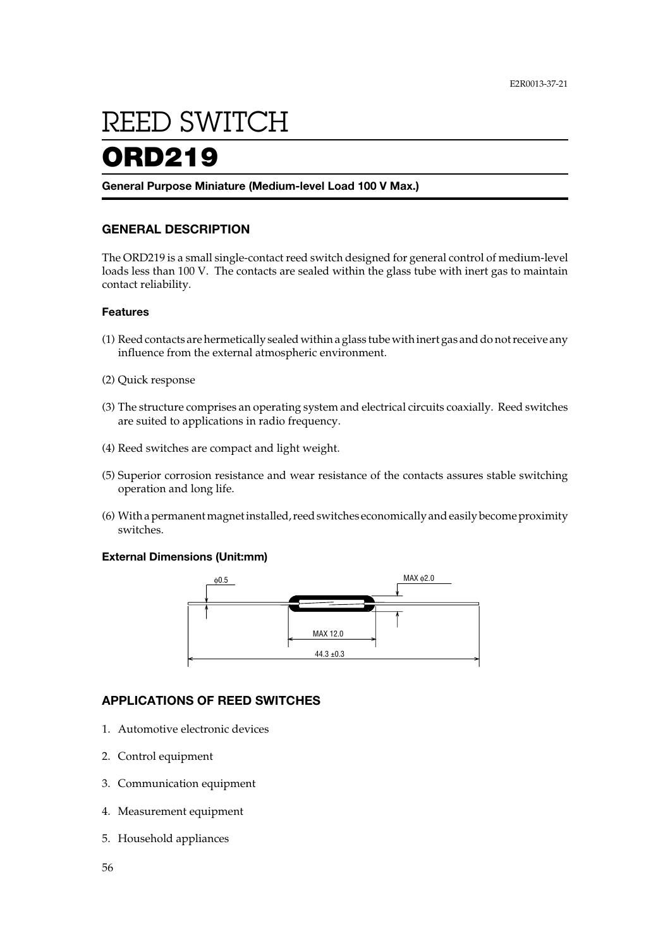# **ORD219** REED SWITCH REED SWITCH

## ORD219

**General Purpose Miniature (Medium-level Load 100 V Max.)**

#### **GENERAL DESCRIPTION**

The ORD219 is a small single-contact reed switch designed for general control of medium-level loads less than 100 V. The contacts are sealed within the glass tube with inert gas to maintain contact reliability.

#### **Features**

- (1) Reed contacts are hermetically sealed within a glass tube with inert gas and do not receive any influence from the external atmospheric environment.
- (2) Quick response
- (3) The structure comprises an operating system and electrical circuits coaxially. Reed switches are suited to applications in radio frequency.
- (4) Reed switches are compact and light weight.
- (5) Superior corrosion resistance and wear resistance of the contacts assures stable switching operation and long life.
- (6) With a permanent magnet installed, reed switches economically and easily become proximity switches.

#### **External Dimensions (Unit:mm)**



#### **APPLICATIONS OF REED SWITCHES**

- 1. Automotive electronic devices
- 2. Control equipment
- 3. Communication equipment
- 4. Measurement equipment
- 5. Household appliances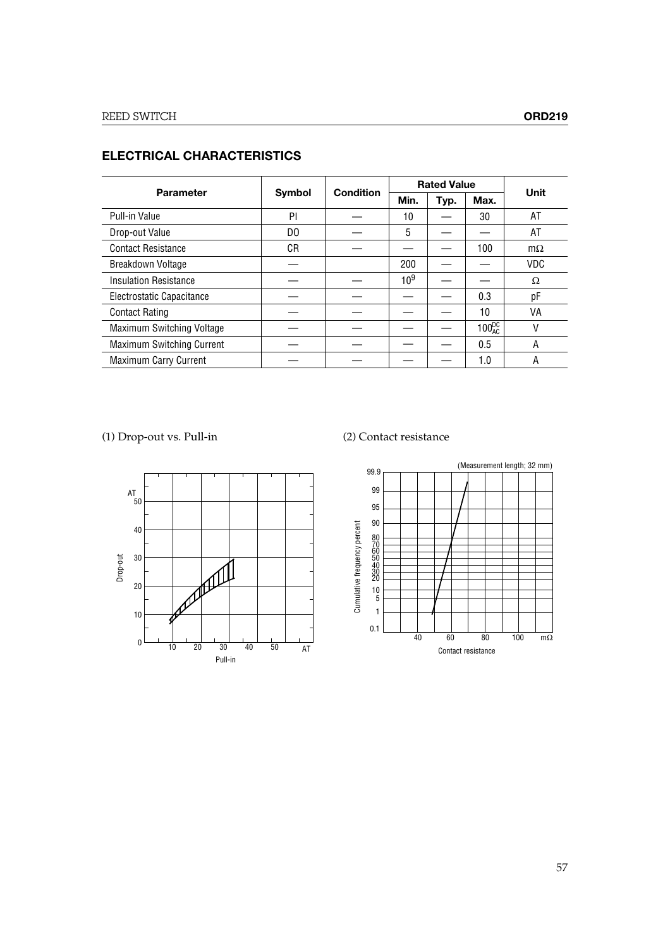| <b>Parameter</b>                 | Symbol         | <b>Condition</b> | <b>Rated Value</b> |      |                 | Unit       |
|----------------------------------|----------------|------------------|--------------------|------|-----------------|------------|
|                                  |                |                  | Min.               | Typ. | Max.            |            |
| Pull-in Value                    | PI             |                  | 10                 |      | 30              | AT         |
| Drop-out Value                   | D <sub>0</sub> |                  | 5                  |      |                 | AT         |
| <b>Contact Resistance</b>        | СR             |                  |                    |      | 100             | $m\Omega$  |
| Breakdown Voltage                |                |                  | 200                |      |                 | <b>VDC</b> |
| <b>Insulation Resistance</b>     |                |                  | $10^{9}$           |      |                 | Ω          |
| Electrostatic Capacitance        |                |                  |                    |      | 0.3             | рF         |
| <b>Contact Rating</b>            |                |                  |                    |      | 10              | VA         |
| Maximum Switching Voltage        |                |                  |                    |      | $100_{AC}^{DC}$ | V          |
| <b>Maximum Switching Current</b> |                |                  |                    |      | 0.5             | A          |
| <b>Maximum Carry Current</b>     |                |                  |                    |      | 1.0             | A          |

#### **ELECTRICAL CHARACTERISTICS**

(1) Drop-out vs. Pull-in (2) Contact resistance



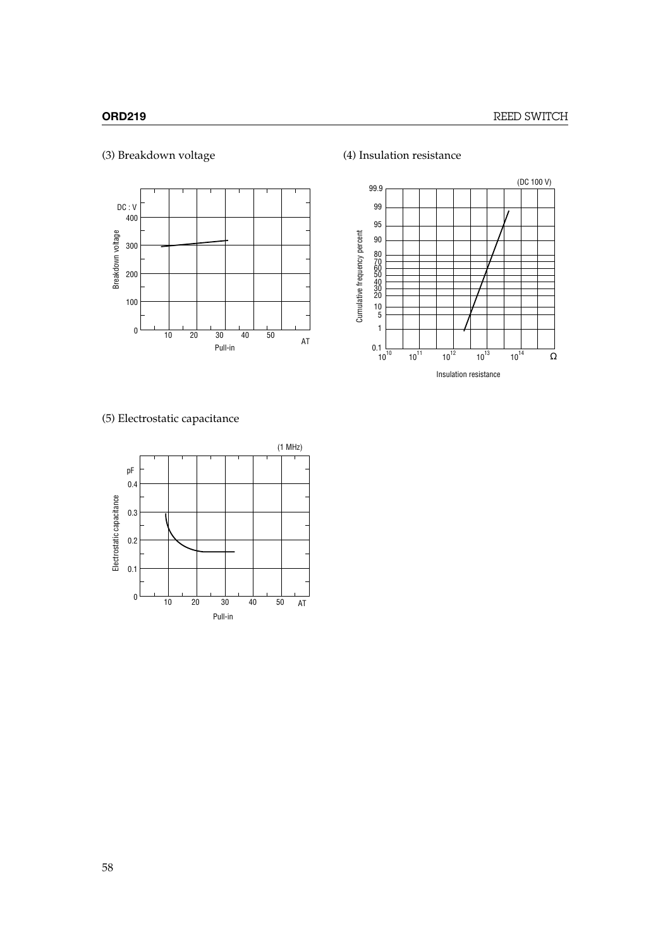

### (3) Breakdown voltage (4) Insulation resistance



### (5) Electrostatic capacitance

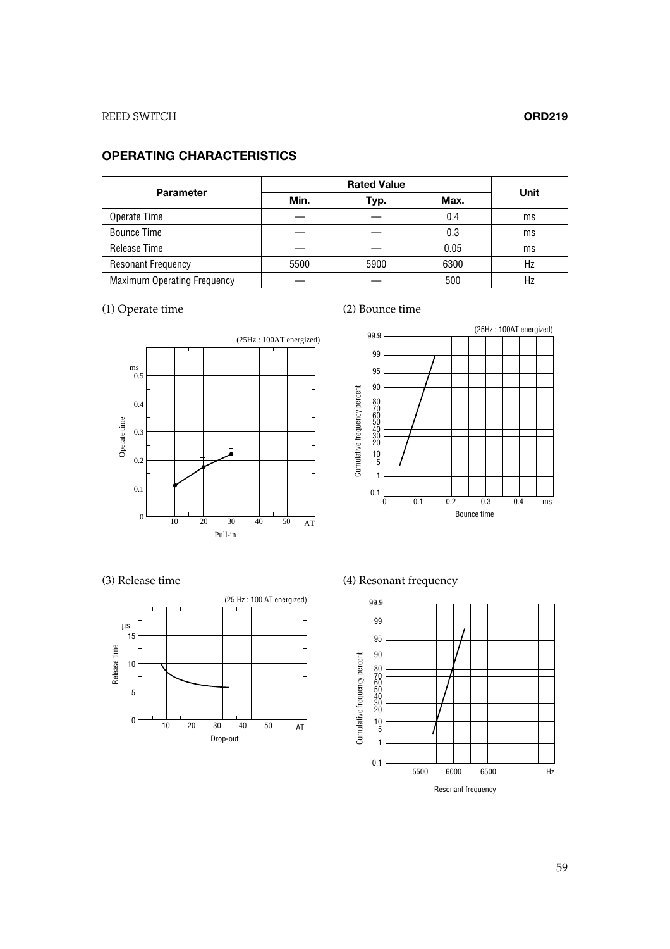#### **OPERATING CHARACTERISTICS**

| <b>Parameter</b>                   |      |      |      |      |
|------------------------------------|------|------|------|------|
|                                    | Min. | Typ. | Max. | Unit |
| Operate Time                       |      |      | 0.4  | ms   |
| <b>Bounce Time</b>                 |      |      | 0.3  | ms   |
| Release Time                       |      |      | 0.05 | ms   |
| <b>Resonant Frequency</b>          | 5500 | 5900 | 6300 | Hz   |
| <b>Maximum Operating Frequency</b> |      |      | 500  | Hz   |

### (1) Operate time (2) Bounce time







(3) Release time (4) Resonant frequency

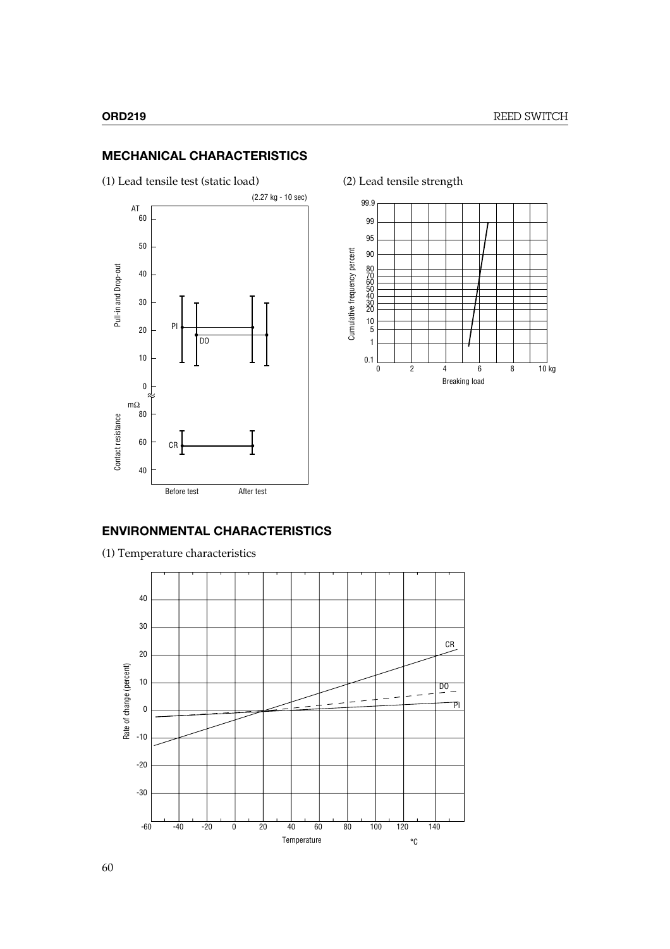#### **MECHANICAL CHARACTERISTICS**







#### **ENVIRONMENTAL CHARACTERISTICS**

(1) Temperature characteristics

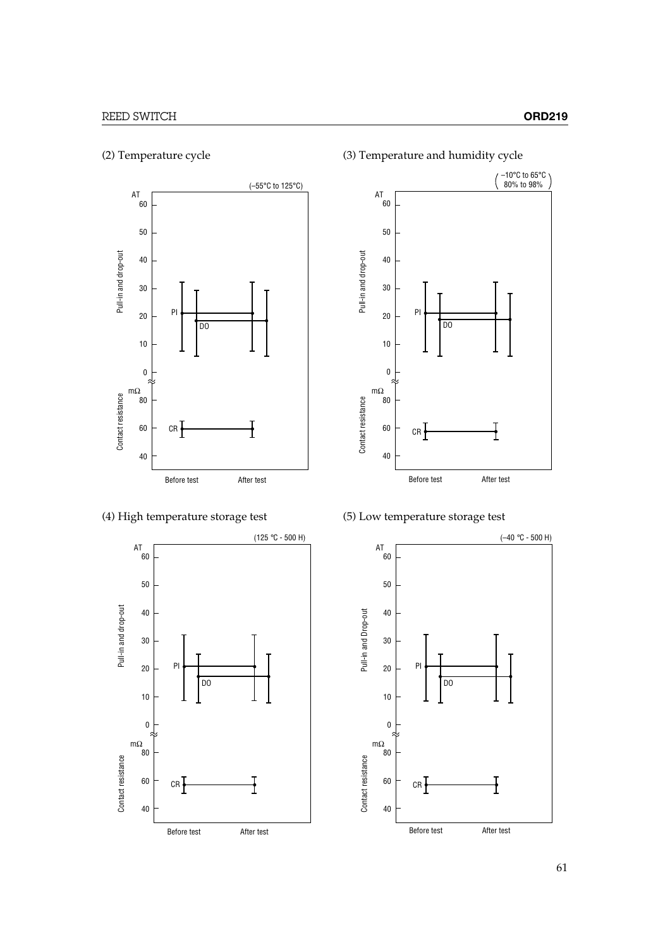

(2) Temperature cycle (3) Temperature and humidity cycle





#### (4) High temperature storage test (5) Low temperature storage test

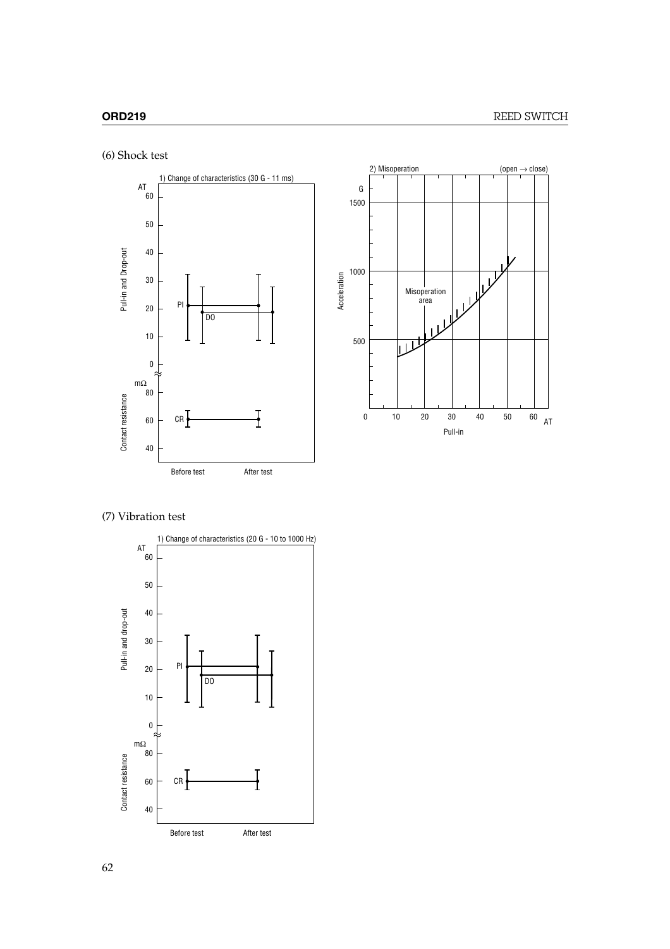





#### (7) Vibration test